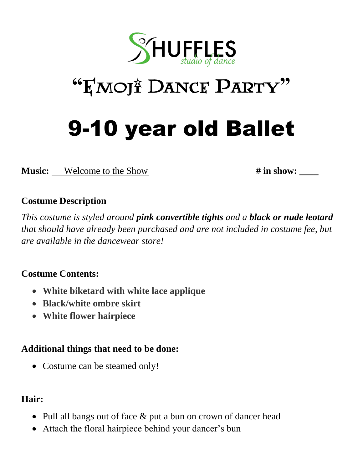

## **"**Emoji Dance Party**"** 9-10 year old Ballet

**Music:** Welcome to the Show **# in show: \_\_\_\_**

#### **Costume Description**

*This costume is styled around pink convertible tights and a black or nude leotard that should have already been purchased and are not included in costume fee, but are available in the dancewear store!* 

#### **Costume Contents:**

- **White biketard with white lace applique**
- **Black/white ombre skirt**
- **White flower hairpiece**

#### **Additional things that need to be done:**

• Costume can be steamed only!

#### **Hair:**

- Pull all bangs out of face & put a bun on crown of dancer head
- Attach the floral hairpiece behind your dancer's bun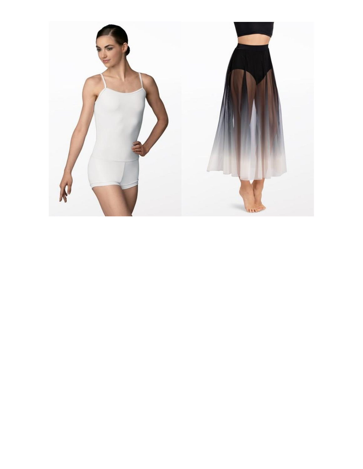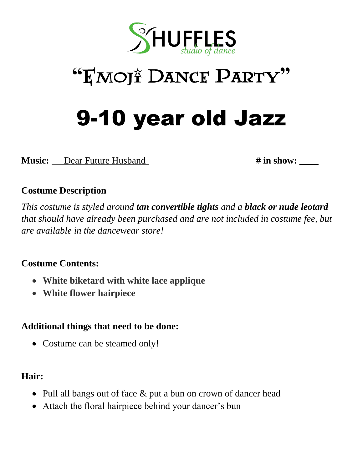

# **"**Emoji Dance Party**"**

### 9-10 year old Jazz

**Music:** Dear Future Husband **# in show: \_\_\_\_**

#### **Costume Description**

*This costume is styled around tan convertible tights and a black or nude leotard that should have already been purchased and are not included in costume fee, but are available in the dancewear store!* 

#### **Costume Contents:**

- **White biketard with white lace applique**
- **White flower hairpiece**

#### **Additional things that need to be done:**

• Costume can be steamed only!

#### **Hair:**

- Pull all bangs out of face & put a bun on crown of dancer head
- Attach the floral hairpiece behind your dancer's bun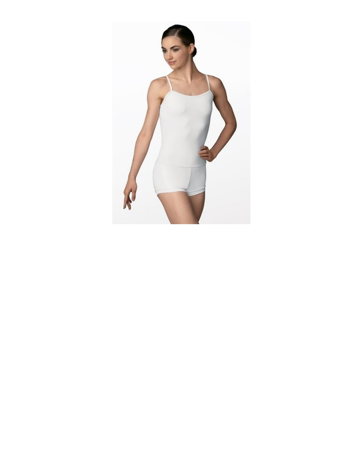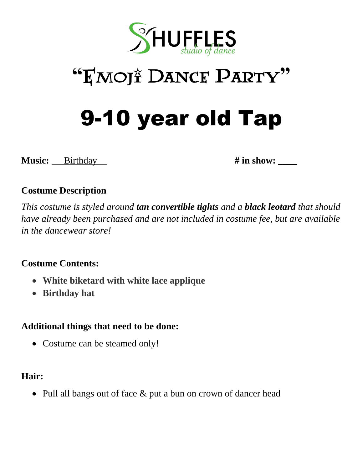

# **"**Emoji Dance Party**"** 9-10 year old Tap

**Music:** Birthday **# in show: \_\_\_\_**

#### **Costume Description**

*This costume is styled around tan convertible tights and a black leotard that should have already been purchased and are not included in costume fee, but are available in the dancewear store!* 

#### **Costume Contents:**

- **White biketard with white lace applique**
- **Birthday hat**

#### **Additional things that need to be done:**

• Costume can be steamed only!

#### **Hair:**

• Pull all bangs out of face & put a bun on crown of dancer head